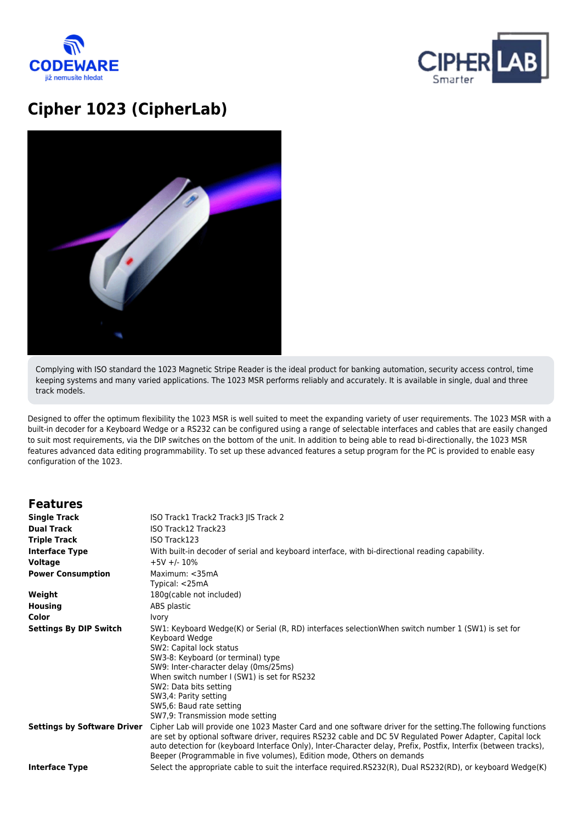



## **Cipher 1023 (CipherLab)**



Complying with ISO standard the 1023 Magnetic Stripe Reader is the ideal product for banking automation, security access control, time keeping systems and many varied applications. The 1023 MSR performs reliably and accurately. It is available in single, dual and three track models.

Designed to offer the optimum flexibility the 1023 MSR is well suited to meet the expanding variety of user requirements. The 1023 MSR with a built-in decoder for a Keyboard Wedge or a RS232 can be configured using a range of selectable interfaces and cables that are easily changed to suit most requirements, via the DIP switches on the bottom of the unit. In addition to being able to read bi-directionally, the 1023 MSR features advanced data editing programmability. To set up these advanced features a setup program for the PC is provided to enable easy configuration of the 1023.

## **Features**

| <b>Single Track</b>                | ISO Track1 Track2 Track3 JIS Track 2                                                                                                                                                                                                                                                                                                                                                                                     |
|------------------------------------|--------------------------------------------------------------------------------------------------------------------------------------------------------------------------------------------------------------------------------------------------------------------------------------------------------------------------------------------------------------------------------------------------------------------------|
| <b>Dual Track</b>                  | ISO Track12 Track23                                                                                                                                                                                                                                                                                                                                                                                                      |
| <b>Triple Track</b>                | ISO Track123                                                                                                                                                                                                                                                                                                                                                                                                             |
| <b>Interface Type</b>              | With built-in decoder of serial and keyboard interface, with bi-directional reading capability.                                                                                                                                                                                                                                                                                                                          |
| <b>Voltage</b>                     | $+5V + -10%$                                                                                                                                                                                                                                                                                                                                                                                                             |
| <b>Power Consumption</b>           | Maximum: $<$ 35mA<br>Typical: <25mA                                                                                                                                                                                                                                                                                                                                                                                      |
| Weight                             | 180g(cable not included)                                                                                                                                                                                                                                                                                                                                                                                                 |
| <b>Housing</b>                     | ABS plastic                                                                                                                                                                                                                                                                                                                                                                                                              |
| Color                              | Ivory                                                                                                                                                                                                                                                                                                                                                                                                                    |
| <b>Settings By DIP Switch</b>      | SW1: Keyboard Wedge(K) or Serial (R, RD) interfaces selectionWhen switch number 1 (SW1) is set for<br>Keyboard Wedge<br>SW2: Capital lock status<br>SW3-8: Keyboard (or terminal) type<br>SW9: Inter-character delay (0ms/25ms)<br>When switch number I (SW1) is set for RS232<br>SW2: Data bits setting<br>SW3,4: Parity setting<br>SW5,6: Baud rate setting<br>SW7,9: Transmission mode setting                        |
| <b>Settings by Software Driver</b> | Cipher Lab will provide one 1023 Master Card and one software driver for the setting. The following functions<br>are set by optional software driver, requires RS232 cable and DC 5V Regulated Power Adapter, Capital lock<br>auto detection for (keyboard Interface Only), Inter-Character delay, Prefix, Postfix, Interfix (between tracks),<br>Beeper (Programmable in five volumes), Edition mode, Others on demands |
| <b>Interface Type</b>              | Select the appropriate cable to suit the interface required.RS232(R), Dual RS232(RD), or keyboard Wedge(K)                                                                                                                                                                                                                                                                                                               |
|                                    |                                                                                                                                                                                                                                                                                                                                                                                                                          |